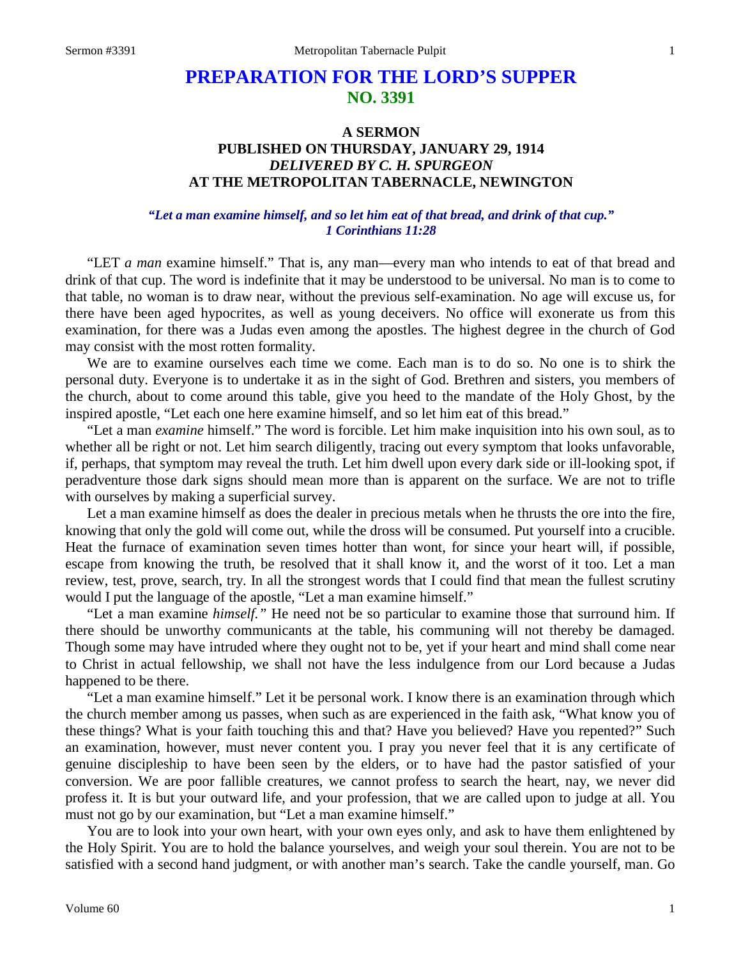# **PREPARATION FOR THE LORD'S SUPPER NO. 3391**

# **A SERMON PUBLISHED ON THURSDAY, JANUARY 29, 1914** *DELIVERED BY C. H. SPURGEON* **AT THE METROPOLITAN TABERNACLE, NEWINGTON**

### *"Let a man examine himself, and so let him eat of that bread, and drink of that cup." 1 Corinthians 11:28*

"LET *a man* examine himself." That is, any man—every man who intends to eat of that bread and drink of that cup. The word is indefinite that it may be understood to be universal. No man is to come to that table, no woman is to draw near, without the previous self-examination. No age will excuse us, for there have been aged hypocrites, as well as young deceivers. No office will exonerate us from this examination, for there was a Judas even among the apostles. The highest degree in the church of God may consist with the most rotten formality.

We are to examine ourselves each time we come. Each man is to do so. No one is to shirk the personal duty. Everyone is to undertake it as in the sight of God. Brethren and sisters, you members of the church, about to come around this table, give you heed to the mandate of the Holy Ghost, by the inspired apostle, "Let each one here examine himself, and so let him eat of this bread."

"Let a man *examine* himself." The word is forcible. Let him make inquisition into his own soul, as to whether all be right or not. Let him search diligently, tracing out every symptom that looks unfavorable, if, perhaps, that symptom may reveal the truth. Let him dwell upon every dark side or ill-looking spot, if peradventure those dark signs should mean more than is apparent on the surface. We are not to trifle with ourselves by making a superficial survey.

Let a man examine himself as does the dealer in precious metals when he thrusts the ore into the fire, knowing that only the gold will come out, while the dross will be consumed. Put yourself into a crucible. Heat the furnace of examination seven times hotter than wont, for since your heart will, if possible, escape from knowing the truth, be resolved that it shall know it, and the worst of it too. Let a man review, test, prove, search, try. In all the strongest words that I could find that mean the fullest scrutiny would I put the language of the apostle, "Let a man examine himself."

"Let a man examine *himself."* He need not be so particular to examine those that surround him. If there should be unworthy communicants at the table, his communing will not thereby be damaged. Though some may have intruded where they ought not to be, yet if your heart and mind shall come near to Christ in actual fellowship, we shall not have the less indulgence from our Lord because a Judas happened to be there.

"Let a man examine himself." Let it be personal work. I know there is an examination through which the church member among us passes, when such as are experienced in the faith ask, "What know you of these things? What is your faith touching this and that? Have you believed? Have you repented?" Such an examination, however, must never content you. I pray you never feel that it is any certificate of genuine discipleship to have been seen by the elders, or to have had the pastor satisfied of your conversion. We are poor fallible creatures, we cannot profess to search the heart, nay, we never did profess it. It is but your outward life, and your profession, that we are called upon to judge at all. You must not go by our examination, but "Let a man examine himself."

You are to look into your own heart, with your own eyes only, and ask to have them enlightened by the Holy Spirit. You are to hold the balance yourselves, and weigh your soul therein. You are not to be satisfied with a second hand judgment, or with another man's search. Take the candle yourself, man. Go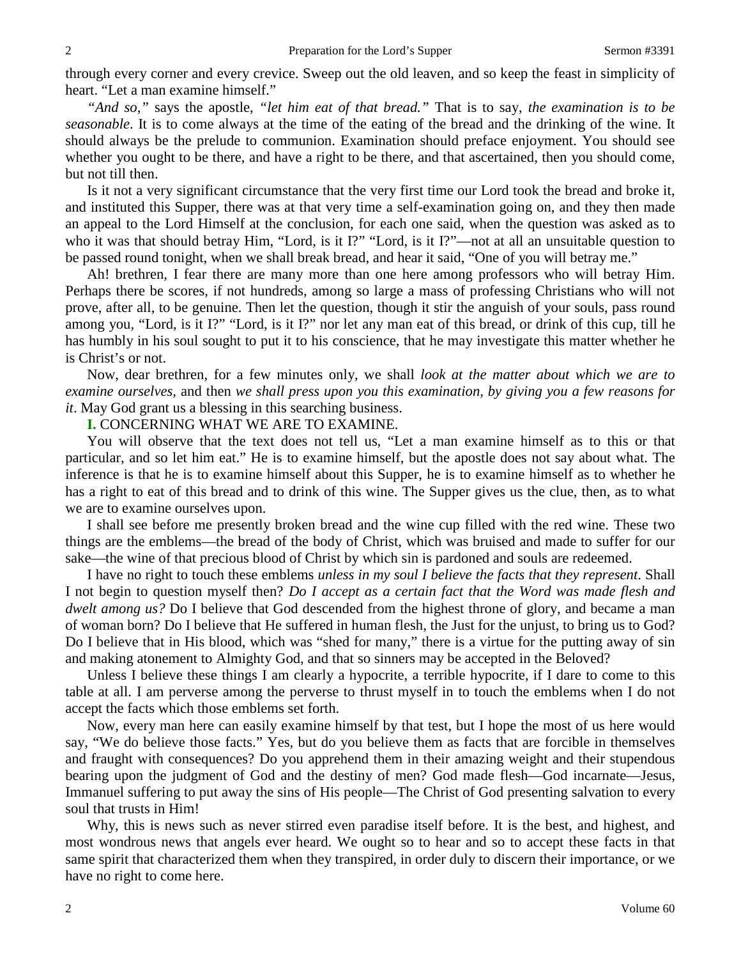through every corner and every crevice. Sweep out the old leaven, and so keep the feast in simplicity of heart. "Let a man examine himself."

*"And so,"* says the apostle, *"let him eat of that bread."* That is to say, *the examination is to be seasonable*. It is to come always at the time of the eating of the bread and the drinking of the wine. It should always be the prelude to communion. Examination should preface enjoyment. You should see whether you ought to be there, and have a right to be there, and that ascertained, then you should come, but not till then.

Is it not a very significant circumstance that the very first time our Lord took the bread and broke it, and instituted this Supper, there was at that very time a self-examination going on, and they then made an appeal to the Lord Himself at the conclusion, for each one said, when the question was asked as to who it was that should betray Him, "Lord, is it I?" "Lord, is it I?"—not at all an unsuitable question to be passed round tonight, when we shall break bread, and hear it said, "One of you will betray me."

Ah! brethren, I fear there are many more than one here among professors who will betray Him. Perhaps there be scores, if not hundreds, among so large a mass of professing Christians who will not prove, after all, to be genuine. Then let the question, though it stir the anguish of your souls, pass round among you, "Lord, is it I?" "Lord, is it I?" nor let any man eat of this bread, or drink of this cup, till he has humbly in his soul sought to put it to his conscience, that he may investigate this matter whether he is Christ's or not.

Now, dear brethren, for a few minutes only, we shall *look at the matter about which we are to examine ourselves,* and then *we shall press upon you this examination, by giving you a few reasons for it*. May God grant us a blessing in this searching business.

**I.** CONCERNING WHAT WE ARE TO EXAMINE.

You will observe that the text does not tell us, "Let a man examine himself as to this or that particular, and so let him eat." He is to examine himself, but the apostle does not say about what. The inference is that he is to examine himself about this Supper, he is to examine himself as to whether he has a right to eat of this bread and to drink of this wine. The Supper gives us the clue, then, as to what we are to examine ourselves upon.

I shall see before me presently broken bread and the wine cup filled with the red wine. These two things are the emblems—the bread of the body of Christ, which was bruised and made to suffer for our sake—the wine of that precious blood of Christ by which sin is pardoned and souls are redeemed.

I have no right to touch these emblems *unless in my soul I believe the facts that they represent*. Shall I not begin to question myself then? *Do I accept as a certain fact that the Word was made flesh and dwelt among us?* Do I believe that God descended from the highest throne of glory, and became a man of woman born? Do I believe that He suffered in human flesh, the Just for the unjust, to bring us to God? Do I believe that in His blood, which was "shed for many," there is a virtue for the putting away of sin and making atonement to Almighty God, and that so sinners may be accepted in the Beloved?

Unless I believe these things I am clearly a hypocrite, a terrible hypocrite, if I dare to come to this table at all. I am perverse among the perverse to thrust myself in to touch the emblems when I do not accept the facts which those emblems set forth.

Now, every man here can easily examine himself by that test, but I hope the most of us here would say, "We do believe those facts." Yes, but do you believe them as facts that are forcible in themselves and fraught with consequences? Do you apprehend them in their amazing weight and their stupendous bearing upon the judgment of God and the destiny of men? God made flesh—God incarnate—Jesus, Immanuel suffering to put away the sins of His people—The Christ of God presenting salvation to every soul that trusts in Him!

Why, this is news such as never stirred even paradise itself before. It is the best, and highest, and most wondrous news that angels ever heard. We ought so to hear and so to accept these facts in that same spirit that characterized them when they transpired, in order duly to discern their importance, or we have no right to come here.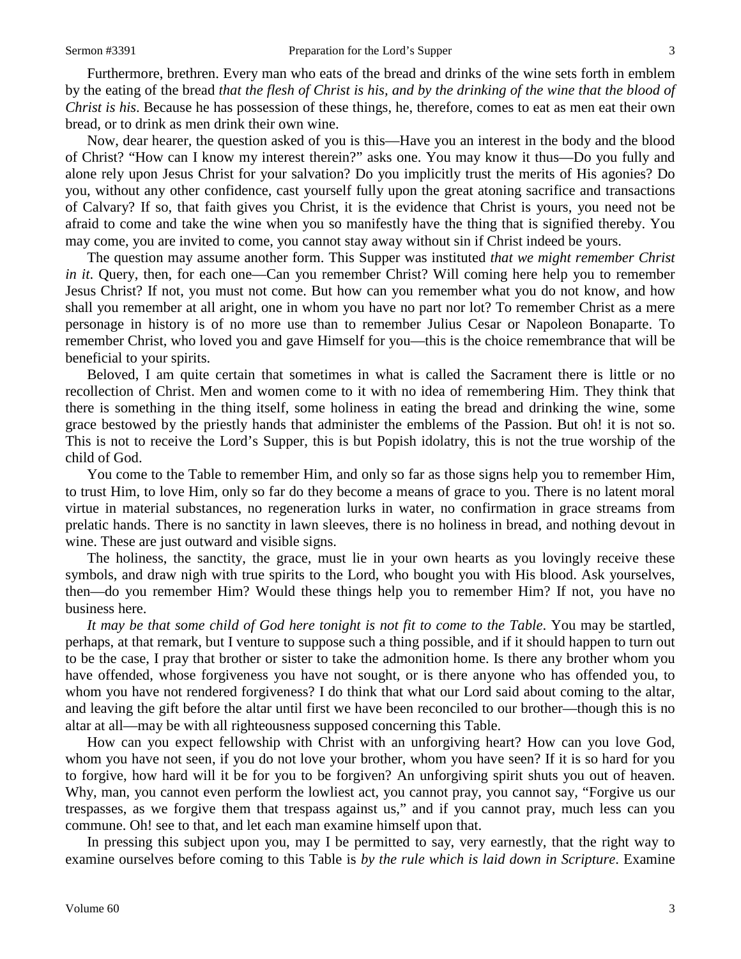Furthermore, brethren. Every man who eats of the bread and drinks of the wine sets forth in emblem by the eating of the bread *that the flesh of Christ is his, and by the drinking of the wine that the blood of Christ is his*. Because he has possession of these things, he, therefore, comes to eat as men eat their own bread, or to drink as men drink their own wine.

Now, dear hearer, the question asked of you is this—Have you an interest in the body and the blood of Christ? "How can I know my interest therein?" asks one. You may know it thus—Do you fully and alone rely upon Jesus Christ for your salvation? Do you implicitly trust the merits of His agonies? Do you, without any other confidence, cast yourself fully upon the great atoning sacrifice and transactions of Calvary? If so, that faith gives you Christ, it is the evidence that Christ is yours, you need not be afraid to come and take the wine when you so manifestly have the thing that is signified thereby. You may come, you are invited to come, you cannot stay away without sin if Christ indeed be yours.

The question may assume another form. This Supper was instituted *that we might remember Christ in it*. Query, then, for each one—Can you remember Christ? Will coming here help you to remember Jesus Christ? If not, you must not come. But how can you remember what you do not know, and how shall you remember at all aright, one in whom you have no part nor lot? To remember Christ as a mere personage in history is of no more use than to remember Julius Cesar or Napoleon Bonaparte. To remember Christ, who loved you and gave Himself for you—this is the choice remembrance that will be beneficial to your spirits.

Beloved, I am quite certain that sometimes in what is called the Sacrament there is little or no recollection of Christ. Men and women come to it with no idea of remembering Him. They think that there is something in the thing itself, some holiness in eating the bread and drinking the wine, some grace bestowed by the priestly hands that administer the emblems of the Passion. But oh! it is not so. This is not to receive the Lord's Supper, this is but Popish idolatry, this is not the true worship of the child of God.

You come to the Table to remember Him, and only so far as those signs help you to remember Him, to trust Him, to love Him, only so far do they become a means of grace to you. There is no latent moral virtue in material substances, no regeneration lurks in water, no confirmation in grace streams from prelatic hands. There is no sanctity in lawn sleeves, there is no holiness in bread, and nothing devout in wine. These are just outward and visible signs.

The holiness, the sanctity, the grace, must lie in your own hearts as you lovingly receive these symbols, and draw nigh with true spirits to the Lord, who bought you with His blood. Ask yourselves, then—do you remember Him? Would these things help you to remember Him? If not, you have no business here.

*It may be that some child of God here tonight is not fit to come to the Table*. You may be startled, perhaps, at that remark, but I venture to suppose such a thing possible, and if it should happen to turn out to be the case, I pray that brother or sister to take the admonition home. Is there any brother whom you have offended, whose forgiveness you have not sought, or is there anyone who has offended you, to whom you have not rendered forgiveness? I do think that what our Lord said about coming to the altar, and leaving the gift before the altar until first we have been reconciled to our brother—though this is no altar at all—may be with all righteousness supposed concerning this Table.

How can you expect fellowship with Christ with an unforgiving heart? How can you love God, whom you have not seen, if you do not love your brother, whom you have seen? If it is so hard for you to forgive, how hard will it be for you to be forgiven? An unforgiving spirit shuts you out of heaven. Why, man, you cannot even perform the lowliest act, you cannot pray, you cannot say, "Forgive us our trespasses, as we forgive them that trespass against us," and if you cannot pray, much less can you commune. Oh! see to that, and let each man examine himself upon that.

In pressing this subject upon you, may I be permitted to say, very earnestly, that the right way to examine ourselves before coming to this Table is *by the rule which is laid down in Scripture*. Examine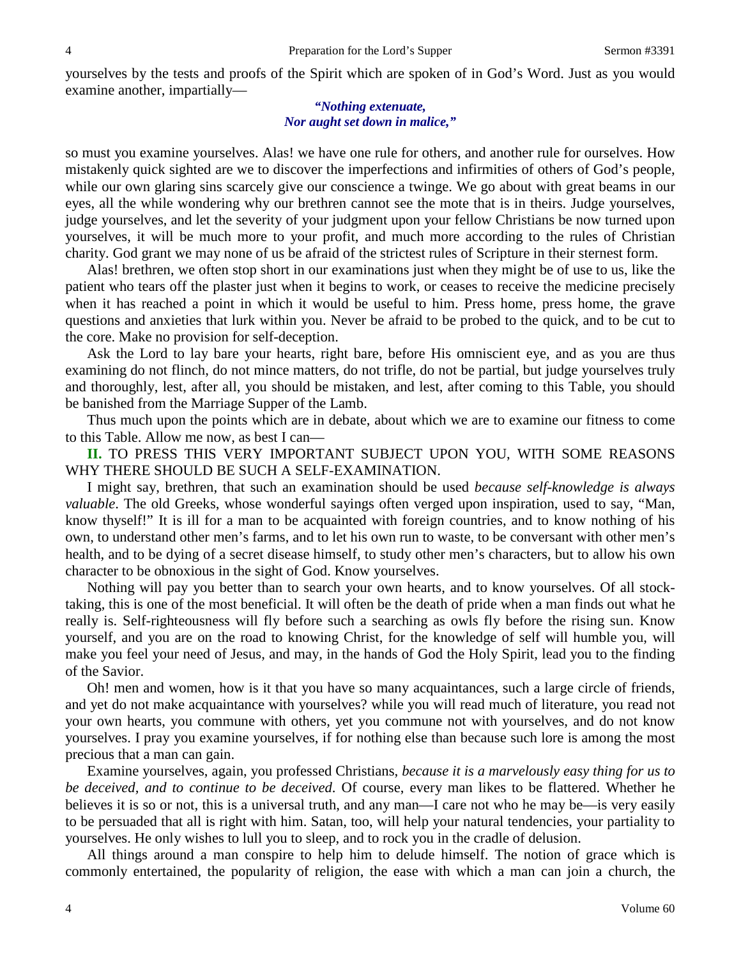yourselves by the tests and proofs of the Spirit which are spoken of in God's Word. Just as you would examine another, impartially—

#### *"Nothing extenuate, Nor aught set down in malice,"*

so must you examine yourselves. Alas! we have one rule for others, and another rule for ourselves. How mistakenly quick sighted are we to discover the imperfections and infirmities of others of God's people, while our own glaring sins scarcely give our conscience a twinge. We go about with great beams in our eyes, all the while wondering why our brethren cannot see the mote that is in theirs. Judge yourselves, judge yourselves, and let the severity of your judgment upon your fellow Christians be now turned upon yourselves, it will be much more to your profit, and much more according to the rules of Christian charity. God grant we may none of us be afraid of the strictest rules of Scripture in their sternest form.

Alas! brethren, we often stop short in our examinations just when they might be of use to us, like the patient who tears off the plaster just when it begins to work, or ceases to receive the medicine precisely when it has reached a point in which it would be useful to him. Press home, press home, the grave questions and anxieties that lurk within you. Never be afraid to be probed to the quick, and to be cut to the core. Make no provision for self-deception.

Ask the Lord to lay bare your hearts, right bare, before His omniscient eye, and as you are thus examining do not flinch, do not mince matters, do not trifle, do not be partial, but judge yourselves truly and thoroughly, lest, after all, you should be mistaken, and lest, after coming to this Table, you should be banished from the Marriage Supper of the Lamb.

Thus much upon the points which are in debate, about which we are to examine our fitness to come to this Table. Allow me now, as best I can—

**II.** TO PRESS THIS VERY IMPORTANT SUBJECT UPON YOU, WITH SOME REASONS WHY THERE SHOULD BE SUCH A SELF-EXAMINATION.

I might say, brethren, that such an examination should be used *because self-knowledge is always valuable*. The old Greeks, whose wonderful sayings often verged upon inspiration, used to say, "Man, know thyself!" It is ill for a man to be acquainted with foreign countries, and to know nothing of his own, to understand other men's farms, and to let his own run to waste, to be conversant with other men's health, and to be dying of a secret disease himself, to study other men's characters, but to allow his own character to be obnoxious in the sight of God. Know yourselves.

Nothing will pay you better than to search your own hearts, and to know yourselves. Of all stocktaking, this is one of the most beneficial. It will often be the death of pride when a man finds out what he really is. Self-righteousness will fly before such a searching as owls fly before the rising sun. Know yourself, and you are on the road to knowing Christ, for the knowledge of self will humble you, will make you feel your need of Jesus, and may, in the hands of God the Holy Spirit, lead you to the finding of the Savior.

Oh! men and women, how is it that you have so many acquaintances, such a large circle of friends, and yet do not make acquaintance with yourselves? while you will read much of literature, you read not your own hearts, you commune with others, yet you commune not with yourselves, and do not know yourselves. I pray you examine yourselves, if for nothing else than because such lore is among the most precious that a man can gain.

Examine yourselves, again, you professed Christians, *because it is a marvelously easy thing for us to be deceived, and to continue to be deceived*. Of course, every man likes to be flattered. Whether he believes it is so or not, this is a universal truth, and any man—I care not who he may be—is very easily to be persuaded that all is right with him. Satan, too, will help your natural tendencies, your partiality to yourselves. He only wishes to lull you to sleep, and to rock you in the cradle of delusion.

All things around a man conspire to help him to delude himself. The notion of grace which is commonly entertained, the popularity of religion, the ease with which a man can join a church, the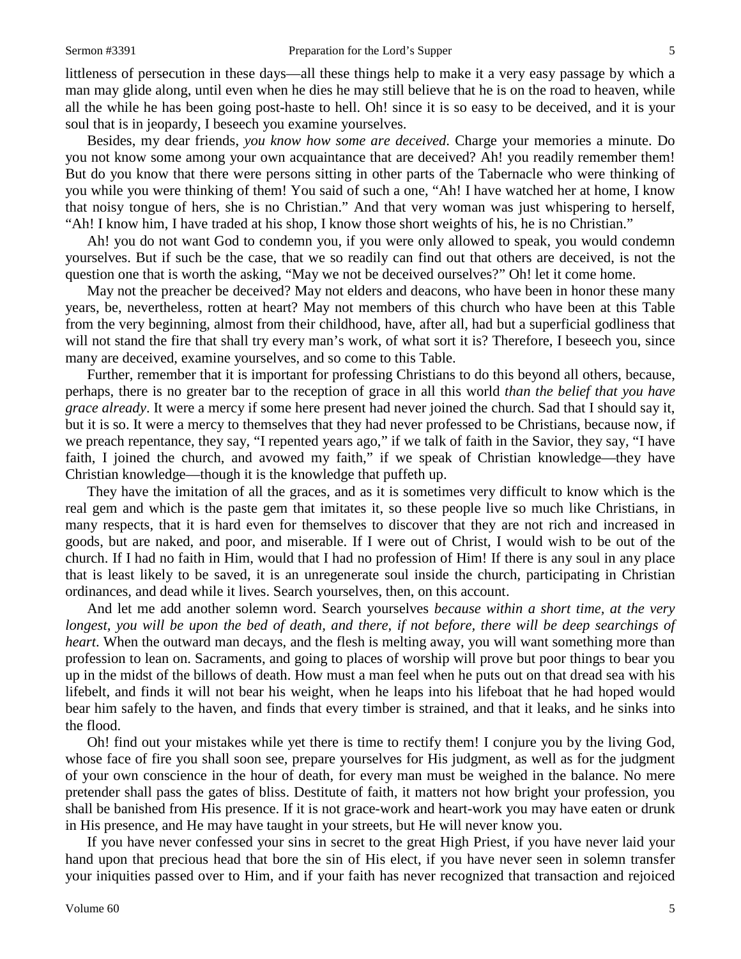littleness of persecution in these days—all these things help to make it a very easy passage by which a man may glide along, until even when he dies he may still believe that he is on the road to heaven, while all the while he has been going post-haste to hell. Oh! since it is so easy to be deceived, and it is your soul that is in jeopardy, I beseech you examine yourselves.

Besides, my dear friends, *you know how some are deceived*. Charge your memories a minute. Do you not know some among your own acquaintance that are deceived? Ah! you readily remember them! But do you know that there were persons sitting in other parts of the Tabernacle who were thinking of you while you were thinking of them! You said of such a one, "Ah! I have watched her at home, I know that noisy tongue of hers, she is no Christian." And that very woman was just whispering to herself, "Ah! I know him, I have traded at his shop, I know those short weights of his, he is no Christian."

Ah! you do not want God to condemn you, if you were only allowed to speak, you would condemn yourselves. But if such be the case, that we so readily can find out that others are deceived, is not the question one that is worth the asking, "May we not be deceived ourselves?" Oh! let it come home.

May not the preacher be deceived? May not elders and deacons, who have been in honor these many years, be, nevertheless, rotten at heart? May not members of this church who have been at this Table from the very beginning, almost from their childhood, have, after all, had but a superficial godliness that will not stand the fire that shall try every man's work, of what sort it is? Therefore, I beseech you, since many are deceived, examine yourselves, and so come to this Table.

Further, remember that it is important for professing Christians to do this beyond all others, because, perhaps, there is no greater bar to the reception of grace in all this world *than the belief that you have grace already*. It were a mercy if some here present had never joined the church. Sad that I should say it, but it is so. It were a mercy to themselves that they had never professed to be Christians, because now, if we preach repentance, they say, "I repented years ago," if we talk of faith in the Savior, they say, "I have faith, I joined the church, and avowed my faith," if we speak of Christian knowledge—they have Christian knowledge—though it is the knowledge that puffeth up.

They have the imitation of all the graces, and as it is sometimes very difficult to know which is the real gem and which is the paste gem that imitates it, so these people live so much like Christians, in many respects, that it is hard even for themselves to discover that they are not rich and increased in goods, but are naked, and poor, and miserable. If I were out of Christ, I would wish to be out of the church. If I had no faith in Him, would that I had no profession of Him! If there is any soul in any place that is least likely to be saved, it is an unregenerate soul inside the church, participating in Christian ordinances, and dead while it lives. Search yourselves, then, on this account.

And let me add another solemn word. Search yourselves *because within a short time, at the very longest, you will be upon the bed of death, and there, if not before, there will be deep searchings of heart*. When the outward man decays, and the flesh is melting away, you will want something more than profession to lean on. Sacraments, and going to places of worship will prove but poor things to bear you up in the midst of the billows of death. How must a man feel when he puts out on that dread sea with his lifebelt, and finds it will not bear his weight, when he leaps into his lifeboat that he had hoped would bear him safely to the haven, and finds that every timber is strained, and that it leaks, and he sinks into the flood.

Oh! find out your mistakes while yet there is time to rectify them! I conjure you by the living God, whose face of fire you shall soon see, prepare yourselves for His judgment, as well as for the judgment of your own conscience in the hour of death, for every man must be weighed in the balance. No mere pretender shall pass the gates of bliss. Destitute of faith, it matters not how bright your profession, you shall be banished from His presence. If it is not grace-work and heart-work you may have eaten or drunk in His presence, and He may have taught in your streets, but He will never know you.

If you have never confessed your sins in secret to the great High Priest, if you have never laid your hand upon that precious head that bore the sin of His elect, if you have never seen in solemn transfer your iniquities passed over to Him, and if your faith has never recognized that transaction and rejoiced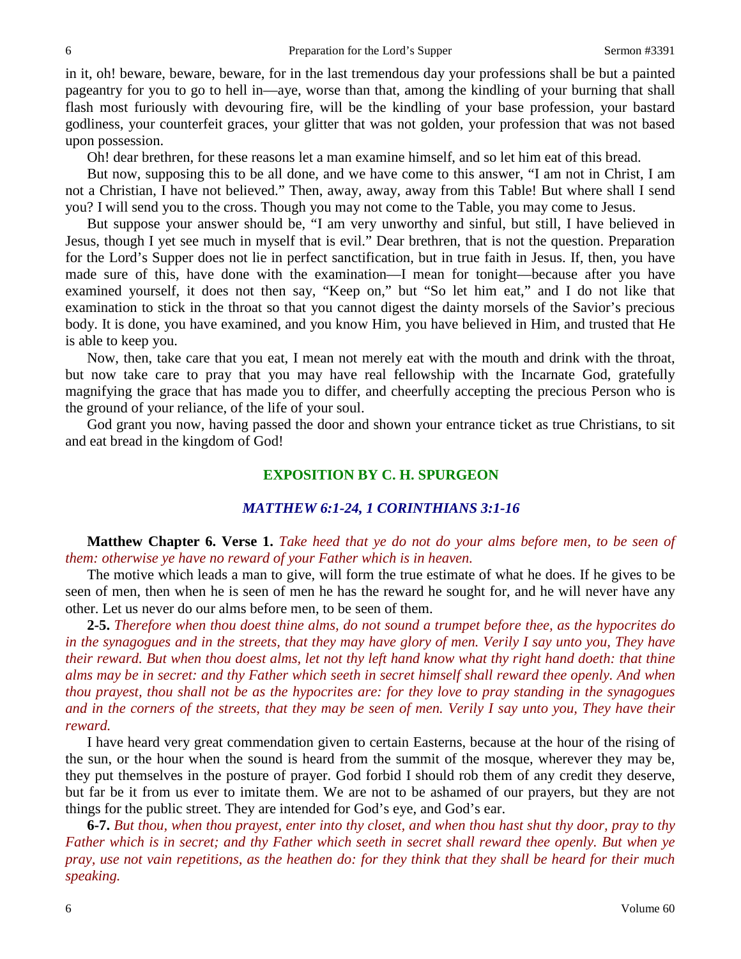in it, oh! beware, beware, beware, for in the last tremendous day your professions shall be but a painted pageantry for you to go to hell in—aye, worse than that, among the kindling of your burning that shall flash most furiously with devouring fire, will be the kindling of your base profession, your bastard godliness, your counterfeit graces, your glitter that was not golden, your profession that was not based upon possession.

Oh! dear brethren, for these reasons let a man examine himself, and so let him eat of this bread.

But now, supposing this to be all done, and we have come to this answer, "I am not in Christ, I am not a Christian, I have not believed." Then, away, away, away from this Table! But where shall I send you? I will send you to the cross. Though you may not come to the Table, you may come to Jesus.

But suppose your answer should be, "I am very unworthy and sinful, but still, I have believed in Jesus, though I yet see much in myself that is evil." Dear brethren, that is not the question. Preparation for the Lord's Supper does not lie in perfect sanctification, but in true faith in Jesus. If, then, you have made sure of this, have done with the examination—I mean for tonight—because after you have examined yourself, it does not then say, "Keep on," but "So let him eat," and I do not like that examination to stick in the throat so that you cannot digest the dainty morsels of the Savior's precious body. It is done, you have examined, and you know Him, you have believed in Him, and trusted that He is able to keep you.

Now, then, take care that you eat, I mean not merely eat with the mouth and drink with the throat, but now take care to pray that you may have real fellowship with the Incarnate God, gratefully magnifying the grace that has made you to differ, and cheerfully accepting the precious Person who is the ground of your reliance, of the life of your soul.

God grant you now, having passed the door and shown your entrance ticket as true Christians, to sit and eat bread in the kingdom of God!

## **EXPOSITION BY C. H. SPURGEON**

#### *MATTHEW 6:1-24, 1 CORINTHIANS 3:1-16*

**Matthew Chapter 6. Verse 1.** *Take heed that ye do not do your alms before men, to be seen of them: otherwise ye have no reward of your Father which is in heaven.*

The motive which leads a man to give, will form the true estimate of what he does. If he gives to be seen of men, then when he is seen of men he has the reward he sought for, and he will never have any other. Let us never do our alms before men, to be seen of them.

**2-5.** *Therefore when thou doest thine alms, do not sound a trumpet before thee, as the hypocrites do in the synagogues and in the streets, that they may have glory of men. Verily I say unto you, They have their reward. But when thou doest alms, let not thy left hand know what thy right hand doeth: that thine alms may be in secret: and thy Father which seeth in secret himself shall reward thee openly. And when thou prayest, thou shall not be as the hypocrites are: for they love to pray standing in the synagogues and in the corners of the streets, that they may be seen of men. Verily I say unto you, They have their reward.*

I have heard very great commendation given to certain Easterns, because at the hour of the rising of the sun, or the hour when the sound is heard from the summit of the mosque, wherever they may be, they put themselves in the posture of prayer. God forbid I should rob them of any credit they deserve, but far be it from us ever to imitate them. We are not to be ashamed of our prayers, but they are not things for the public street. They are intended for God's eye, and God's ear.

**6-7.** *But thou, when thou prayest, enter into thy closet, and when thou hast shut thy door, pray to thy Father which is in secret; and thy Father which seeth in secret shall reward thee openly. But when ye pray, use not vain repetitions, as the heathen do: for they think that they shall be heard for their much speaking.*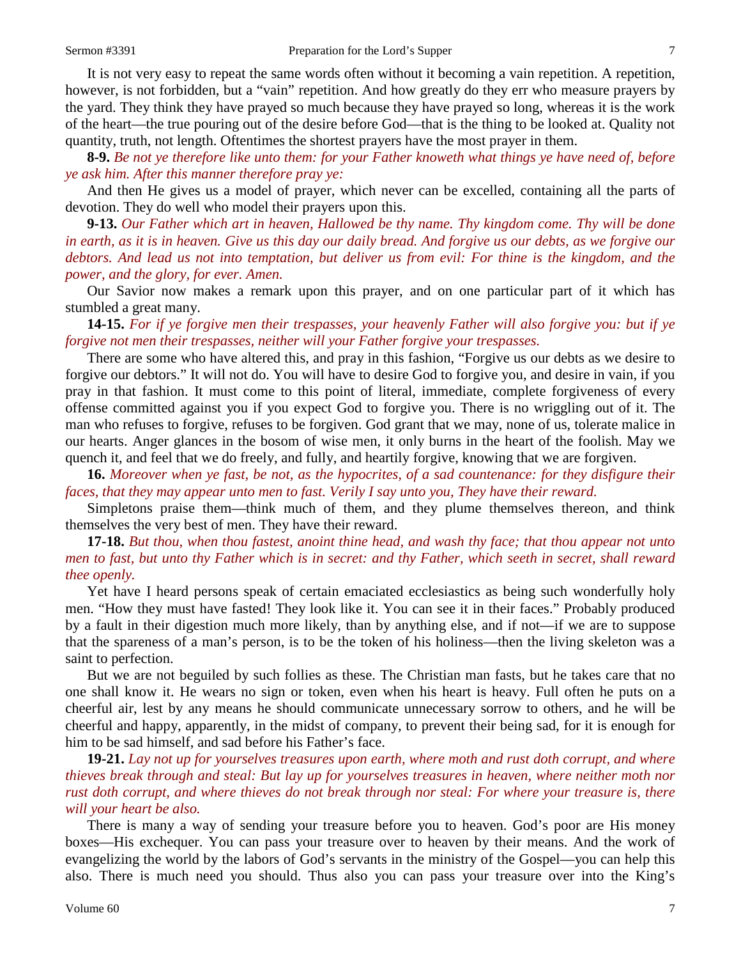It is not very easy to repeat the same words often without it becoming a vain repetition. A repetition, however, is not forbidden, but a "vain" repetition. And how greatly do they err who measure prayers by the yard. They think they have prayed so much because they have prayed so long, whereas it is the work of the heart—the true pouring out of the desire before God—that is the thing to be looked at. Quality not quantity, truth, not length. Oftentimes the shortest prayers have the most prayer in them.

**8-9.** *Be not ye therefore like unto them: for your Father knoweth what things ye have need of, before ye ask him. After this manner therefore pray ye:*

And then He gives us a model of prayer, which never can be excelled, containing all the parts of devotion. They do well who model their prayers upon this.

**9-13.** *Our Father which art in heaven, Hallowed be thy name. Thy kingdom come. Thy will be done in earth, as it is in heaven. Give us this day our daily bread. And forgive us our debts, as we forgive our debtors. And lead us not into temptation, but deliver us from evil: For thine is the kingdom, and the power, and the glory, for ever. Amen.*

Our Savior now makes a remark upon this prayer, and on one particular part of it which has stumbled a great many.

**14-15.** *For if ye forgive men their trespasses, your heavenly Father will also forgive you: but if ye forgive not men their trespasses, neither will your Father forgive your trespasses.*

There are some who have altered this, and pray in this fashion, "Forgive us our debts as we desire to forgive our debtors." It will not do. You will have to desire God to forgive you, and desire in vain, if you pray in that fashion. It must come to this point of literal, immediate, complete forgiveness of every offense committed against you if you expect God to forgive you. There is no wriggling out of it. The man who refuses to forgive, refuses to be forgiven. God grant that we may, none of us, tolerate malice in our hearts. Anger glances in the bosom of wise men, it only burns in the heart of the foolish. May we quench it, and feel that we do freely, and fully, and heartily forgive, knowing that we are forgiven.

**16.** *Moreover when ye fast, be not, as the hypocrites, of a sad countenance: for they disfigure their faces, that they may appear unto men to fast. Verily I say unto you, They have their reward.*

Simpletons praise them—think much of them, and they plume themselves thereon, and think themselves the very best of men. They have their reward.

**17-18.** *But thou, when thou fastest, anoint thine head, and wash thy face; that thou appear not unto men to fast, but unto thy Father which is in secret: and thy Father, which seeth in secret, shall reward thee openly.*

Yet have I heard persons speak of certain emaciated ecclesiastics as being such wonderfully holy men. "How they must have fasted! They look like it. You can see it in their faces." Probably produced by a fault in their digestion much more likely, than by anything else, and if not—if we are to suppose that the spareness of a man's person, is to be the token of his holiness—then the living skeleton was a saint to perfection.

But we are not beguiled by such follies as these. The Christian man fasts, but he takes care that no one shall know it. He wears no sign or token, even when his heart is heavy. Full often he puts on a cheerful air, lest by any means he should communicate unnecessary sorrow to others, and he will be cheerful and happy, apparently, in the midst of company, to prevent their being sad, for it is enough for him to be sad himself, and sad before his Father's face.

**19-21.** *Lay not up for yourselves treasures upon earth, where moth and rust doth corrupt, and where thieves break through and steal: But lay up for yourselves treasures in heaven, where neither moth nor rust doth corrupt, and where thieves do not break through nor steal: For where your treasure is, there will your heart be also.*

There is many a way of sending your treasure before you to heaven. God's poor are His money boxes—His exchequer. You can pass your treasure over to heaven by their means. And the work of evangelizing the world by the labors of God's servants in the ministry of the Gospel—you can help this also. There is much need you should. Thus also you can pass your treasure over into the King's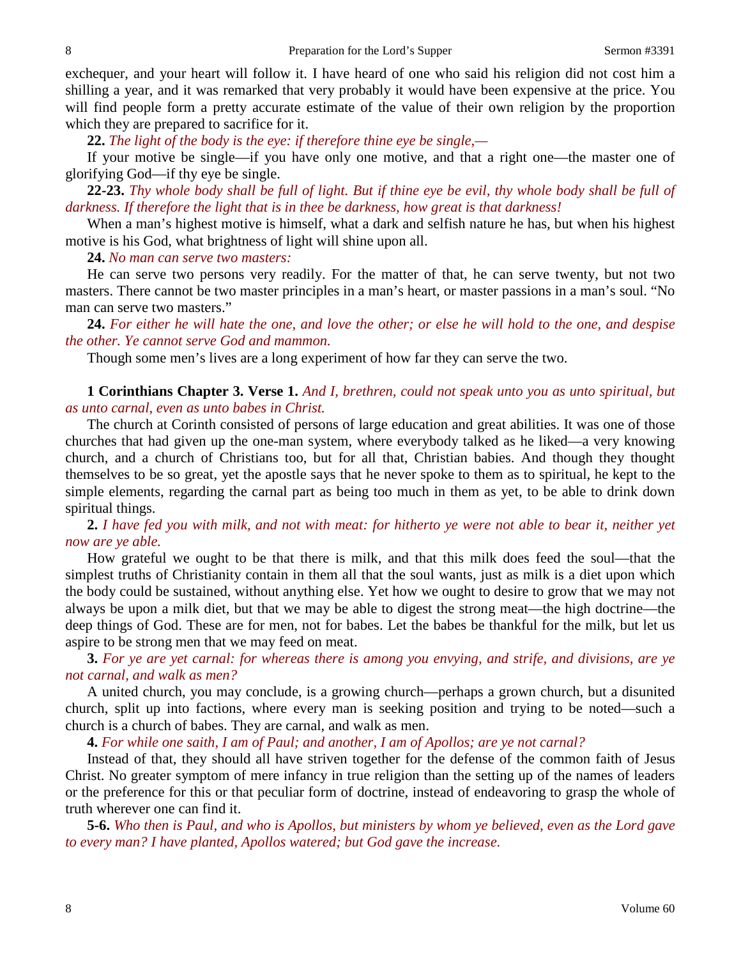exchequer, and your heart will follow it. I have heard of one who said his religion did not cost him a shilling a year, and it was remarked that very probably it would have been expensive at the price. You will find people form a pretty accurate estimate of the value of their own religion by the proportion which they are prepared to sacrifice for it.

**22.** *The light of the body is the eye: if therefore thine eye be single,—*

If your motive be single—if you have only one motive, and that a right one—the master one of glorifying God—if thy eye be single.

**22-23.** *Thy whole body shall be full of light. But if thine eye be evil, thy whole body shall be full of darkness. If therefore the light that is in thee be darkness, how great is that darkness!*

When a man's highest motive is himself, what a dark and selfish nature he has, but when his highest motive is his God, what brightness of light will shine upon all.

**24.** *No man can serve two masters:*

He can serve two persons very readily. For the matter of that, he can serve twenty, but not two masters. There cannot be two master principles in a man's heart, or master passions in a man's soul. "No man can serve two masters."

**24.** *For either he will hate the one, and love the other; or else he will hold to the one, and despise the other. Ye cannot serve God and mammon.*

Though some men's lives are a long experiment of how far they can serve the two.

**1 Corinthians Chapter 3. Verse 1.** *And I, brethren, could not speak unto you as unto spiritual, but as unto carnal, even as unto babes in Christ.*

The church at Corinth consisted of persons of large education and great abilities. It was one of those churches that had given up the one-man system, where everybody talked as he liked—a very knowing church, and a church of Christians too, but for all that, Christian babies. And though they thought themselves to be so great, yet the apostle says that he never spoke to them as to spiritual, he kept to the simple elements, regarding the carnal part as being too much in them as yet, to be able to drink down spiritual things.

**2.** *I have fed you with milk, and not with meat: for hitherto ye were not able to bear it, neither yet now are ye able.*

How grateful we ought to be that there is milk, and that this milk does feed the soul—that the simplest truths of Christianity contain in them all that the soul wants, just as milk is a diet upon which the body could be sustained, without anything else. Yet how we ought to desire to grow that we may not always be upon a milk diet, but that we may be able to digest the strong meat—the high doctrine—the deep things of God. These are for men, not for babes. Let the babes be thankful for the milk, but let us aspire to be strong men that we may feed on meat.

**3.** *For ye are yet carnal: for whereas there is among you envying, and strife, and divisions, are ye not carnal, and walk as men?*

A united church, you may conclude, is a growing church—perhaps a grown church, but a disunited church, split up into factions, where every man is seeking position and trying to be noted—such a church is a church of babes. They are carnal, and walk as men.

**4.** *For while one saith, I am of Paul; and another, I am of Apollos; are ye not carnal?*

Instead of that, they should all have striven together for the defense of the common faith of Jesus Christ. No greater symptom of mere infancy in true religion than the setting up of the names of leaders or the preference for this or that peculiar form of doctrine, instead of endeavoring to grasp the whole of truth wherever one can find it.

**5-6.** *Who then is Paul, and who is Apollos, but ministers by whom ye believed, even as the Lord gave to every man? I have planted, Apollos watered; but God gave the increase.*